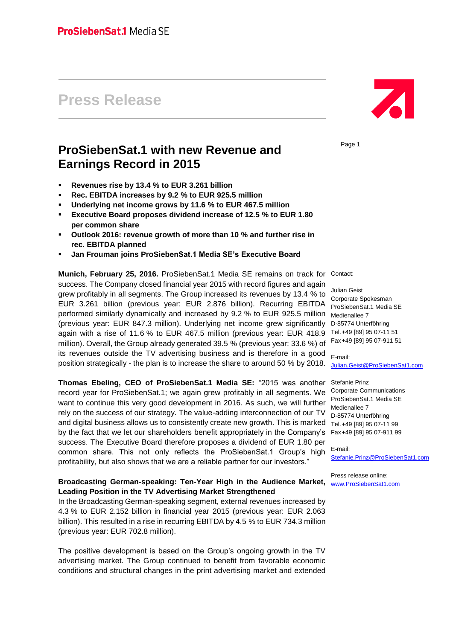# **Press Release**

# **ProSiebenSat.1 with new Revenue and Earnings Record in 2015**

- **Revenues rise by 13.4 % to EUR 3.261 billion**
- **Rec. EBITDA increases by 9.2 % to EUR 925.5 million**
- **Underlying net income grows by 11.6 % to EUR 467.5 million**
- **Executive Board proposes dividend increase of 12.5 % to EUR 1.80 per common share**
- **Outlook 2016: revenue growth of more than 10 % and further rise in rec. EBITDA planned**
- **Jan Frouman joins ProSiebenSat.1 Media SE's Executive Board**

**Munich, February 25, 2016.** ProSiebenSat.1 Media SE remains on track for Contact: success. The Company closed financial year 2015 with record figures and again grew profitably in all segments. The Group increased its revenues by 13.4 % to EUR 3.261 billion (previous year: EUR 2.876 billion). Recurring EBITDA performed similarly dynamically and increased by 9.2 % to EUR 925.5 million (previous year: EUR 847.3 million). Underlying net income grew significantly again with a rise of 11.6 % to EUR 467.5 million (previous year: EUR 418.9 million). Overall, the Group already generated 39.5 % (previous year: 33.6 %) of its revenues outside the TV advertising business and is therefore in a good position strategically - the plan is to increase the share to around 50 % by 2018.

**Thomas Ebeling, CEO of ProSiebenSat.1 Media SE:** "2015 was another record year for ProSiebenSat.1; we again grew profitably in all segments. We want to continue this very good development in 2016. As such, we will further rely on the success of our strategy. The value-adding interconnection of our TV and digital business allows us to consistently create new growth. This is marked by the fact that we let our shareholders benefit appropriately in the Company's success. The Executive Board therefore proposes a dividend of EUR 1.80 per common share. This not only reflects the ProSiebenSat.1 Group's high profitability, but also shows that we are a reliable partner for our investors."

# **Broadcasting German-speaking: Ten-Year High in the Audience Market, Leading Position in the TV Advertising Market Strengthened**

In the Broadcasting German-speaking segment, external revenues increased by 4.3 % to EUR 2.152 billion in financial year 2015 (previous year: EUR 2.063 billion). This resulted in a rise in recurring EBITDA by 4.5 % to EUR 734.3 million (previous year: EUR 702.8 million).

The positive development is based on the Group's ongoing growth in the TV advertising market. The Group continued to benefit from favorable economic conditions and structural changes in the print advertising market and extended

Page 1

Julian Geist Corporate Spokesman ProSiebenSat.1 Media SE Medienallee 7 D-85774 Unterföhring Tel.+49 [89] 95 07-11 51 Fax+49 [89] 95 07-911 51

E-mail: [Julian.Geist@ProSiebenSat1.com](mailto:Julian.Geist@prosiebensat1.com)

Stefanie Prinz Corporate Communications ProSiebenSat.1 Media SE Medienallee 7 D-85774 Unterföhring Tel.+49 [89] 95 07-11 99 Fax+49 [89] 95 07-911 99

E-mail: [Stefanie.Prinz@ProSiebenSat1.com](mailto:Stefanie.Prinz@prosiebensat1.com)

Press release online: [www.ProSiebenSat1.com](http://www.prosiebensat1.com/)

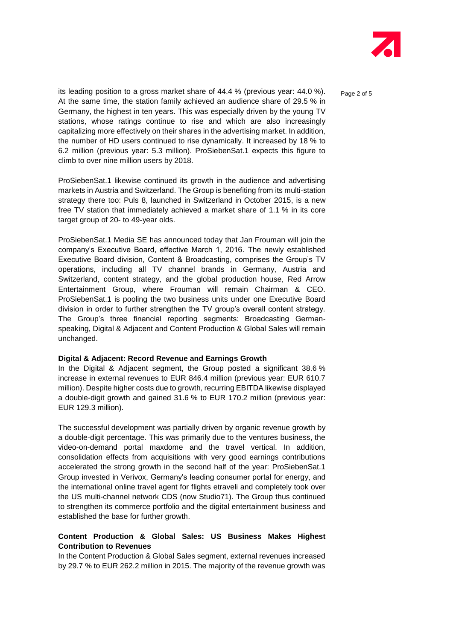

Page 2 of 5

its leading position to a gross market share of 44.4 % (previous year: 44.0 %). At the same time, the station family achieved an audience share of 29.5 % in Germany, the highest in ten years. This was especially driven by the young TV stations, whose ratings continue to rise and which are also increasingly capitalizing more effectively on their shares in the advertising market. In addition, the number of HD users continued to rise dynamically. It increased by 18 % to 6.2 million (previous year: 5.3 million). ProSiebenSat.1 expects this figure to climb to over nine million users by 2018.

ProSiebenSat.1 likewise continued its growth in the audience and advertising markets in Austria and Switzerland. The Group is benefiting from its multi-station strategy there too: Puls 8, launched in Switzerland in October 2015, is a new free TV station that immediately achieved a market share of 1.1 % in its core target group of 20- to 49-year olds.

ProSiebenSat.1 Media SE has announced today that Jan Frouman will join the company's Executive Board, effective March 1, 2016. The newly established Executive Board division, Content & Broadcasting, comprises the Group's TV operations, including all TV channel brands in Germany, Austria and Switzerland, content strategy, and the global production house, Red Arrow Entertainment Group, where Frouman will remain Chairman & CEO. ProSiebenSat.1 is pooling the two business units under one Executive Board division in order to further strengthen the TV group's overall content strategy. The Group's three financial reporting segments: Broadcasting Germanspeaking, Digital & Adjacent and Content Production & Global Sales will remain unchanged.

#### **Digital & Adjacent: Record Revenue and Earnings Growth**

In the Digital & Adjacent segment, the Group posted a significant 38.6 % increase in external revenues to EUR 846.4 million (previous year: EUR 610.7 million). Despite higher costs due to growth, recurring EBITDA likewise displayed a double-digit growth and gained 31.6 % to EUR 170.2 million (previous year: EUR 129.3 million).

The successful development was partially driven by organic revenue growth by a double-digit percentage. This was primarily due to the ventures business, the video-on-demand portal maxdome and the travel vertical. In addition, consolidation effects from acquisitions with very good earnings contributions accelerated the strong growth in the second half of the year: ProSiebenSat.1 Group invested in Verivox, Germany's leading consumer portal for energy, and the international online travel agent for flights etraveli and completely took over the US multi-channel network CDS (now Studio71). The Group thus continued to strengthen its commerce portfolio and the digital entertainment business and established the base for further growth.

# **Content Production & Global Sales: US Business Makes Highest Contribution to Revenues**

In the Content Production & Global Sales segment, external revenues increased by 29.7 % to EUR 262.2 million in 2015. The majority of the revenue growth was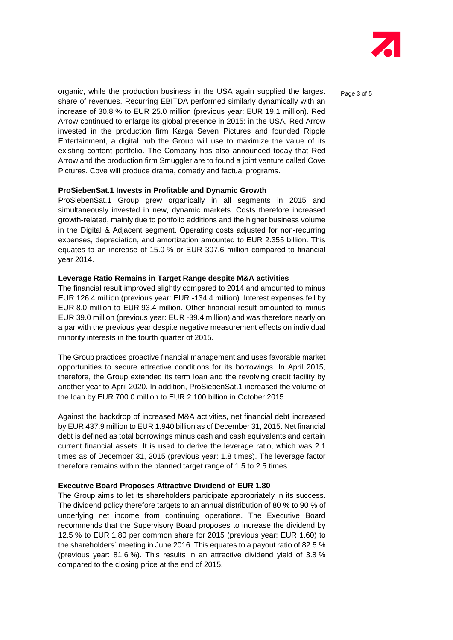

organic, while the production business in the USA again supplied the largest  $P_{\text{a}ae 3 of 5}$ share of revenues. Recurring EBITDA performed similarly dynamically with an increase of 30.8 % to EUR 25.0 million (previous year: EUR 19.1 million). Red Arrow continued to enlarge its global presence in 2015: in the USA, Red Arrow invested in the production firm Karga Seven Pictures and founded Ripple Entertainment, a digital hub the Group will use to maximize the value of its existing content portfolio. The Company has also announced today that Red Arrow and the production firm Smuggler are to found a joint venture called Cove Pictures. Cove will produce drama, comedy and factual programs.

#### **ProSiebenSat.1 Invests in Profitable and Dynamic Growth**

ProSiebenSat.1 Group grew organically in all segments in 2015 and simultaneously invested in new, dynamic markets. Costs therefore increased growth-related, mainly due to portfolio additions and the higher business volume in the Digital & Adjacent segment. Operating costs adjusted for non-recurring expenses, depreciation, and amortization amounted to EUR 2.355 billion. This equates to an increase of 15.0 % or EUR 307.6 million compared to financial year 2014.

#### **Leverage Ratio Remains in Target Range despite M&A activities**

The financial result improved slightly compared to 2014 and amounted to minus EUR 126.4 million (previous year: EUR -134.4 million). Interest expenses fell by EUR 8.0 million to EUR 93.4 million. Other financial result amounted to minus EUR 39.0 million (previous year: EUR -39.4 million) and was therefore nearly on a par with the previous year despite negative measurement effects on individual minority interests in the fourth quarter of 2015.

The Group practices proactive financial management and uses favorable market opportunities to secure attractive conditions for its borrowings. In April 2015, therefore, the Group extended its term loan and the revolving credit facility by another year to April 2020. In addition, ProSiebenSat.1 increased the volume of the loan by EUR 700.0 million to EUR 2.100 billion in October 2015.

Against the backdrop of increased M&A activities, net financial debt increased by EUR 437.9 million to EUR 1.940 billion as of December 31, 2015. Net financial debt is defined as total borrowings minus cash and cash equivalents and certain current financial assets. It is used to derive the leverage ratio, which was 2.1 times as of December 31, 2015 (previous year: 1.8 times). The leverage factor therefore remains within the planned target range of 1.5 to 2.5 times.

# **Executive Board Proposes Attractive Dividend of EUR 1.80**

The Group aims to let its shareholders participate appropriately in its success. The dividend policy therefore targets to an annual distribution of 80 % to 90 % of underlying net income from continuing operations. The Executive Board recommends that the Supervisory Board proposes to increase the dividend by 12.5 % to EUR 1.80 per common share for 2015 (previous year: EUR 1.60) to the shareholders` meeting in June 2016. This equates to a payout ratio of 82.5 % (previous year: 81.6 %). This results in an attractive dividend yield of 3.8 % compared to the closing price at the end of 2015.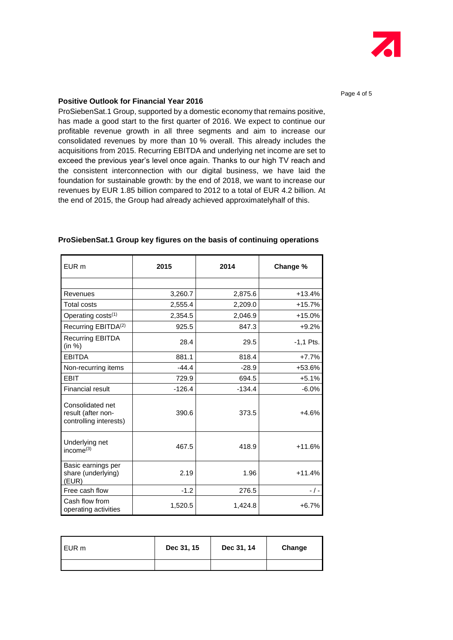

Page 4 of 5

# **Positive Outlook for Financial Year 2016**

ProSiebenSat.1 Group, supported by a domestic economy that remains positive, has made a good start to the first quarter of 2016. We expect to continue our profitable revenue growth in all three segments and aim to increase our consolidated revenues by more than 10 % overall. This already includes the acquisitions from 2015. Recurring EBITDA and underlying net income are set to exceed the previous year's level once again. Thanks to our high TV reach and the consistent interconnection with our digital business, we have laid the foundation for sustainable growth: by the end of 2018, we want to increase our revenues by EUR 1.85 billion compared to 2012 to a total of EUR 4.2 billion. At the end of 2015, the Group had already achieved approximatelyhalf of this.

| EUR <sub>m</sub>                                                 | 2015     | 2014     | Change %    |
|------------------------------------------------------------------|----------|----------|-------------|
|                                                                  |          |          |             |
| Revenues                                                         | 3,260.7  | 2,875.6  | $+13.4%$    |
| <b>Total costs</b>                                               | 2,555.4  | 2,209.0  | +15.7%      |
| Operating costs <sup>(1)</sup>                                   | 2,354.5  | 2,046.9  | $+15.0%$    |
| Recurring EBITDA <sup>(2)</sup>                                  | 925.5    | 847.3    | $+9.2%$     |
| <b>Recurring EBITDA</b><br>(in %)                                | 28.4     | 29.5     | $-1.1$ Pts. |
| <b>EBITDA</b>                                                    | 881.1    | 818.4    | $+7.7%$     |
| Non-recurring items                                              | $-44.4$  | $-28.9$  | +53.6%      |
| <b>EBIT</b>                                                      | 729.9    | 694.5    | $+5.1%$     |
| Financial result                                                 | $-126.4$ | $-134.4$ | $-6.0\%$    |
| Consolidated net<br>result (after non-<br>controlling interests) | 390.6    | 373.5    | $+4.6%$     |
| Underlying net<br>income $^{(3)}$                                | 467.5    | 418.9    | $+11.6%$    |
| Basic earnings per<br>share (underlying)<br>(EUR)                | 2.19     | 1.96     | $+11.4%$    |
| Free cash flow                                                   | $-1.2$   | 276.5    | - / -       |
| Cash flow from<br>operating activities                           | 1,520.5  | 1,424.8  | $+6.7%$     |

### **ProSiebenSat.1 Group key figures on the basis of continuing operations**

| l EUR m | Dec 31, 15 | Dec 31, 14 | Change |
|---------|------------|------------|--------|
|         |            |            |        |